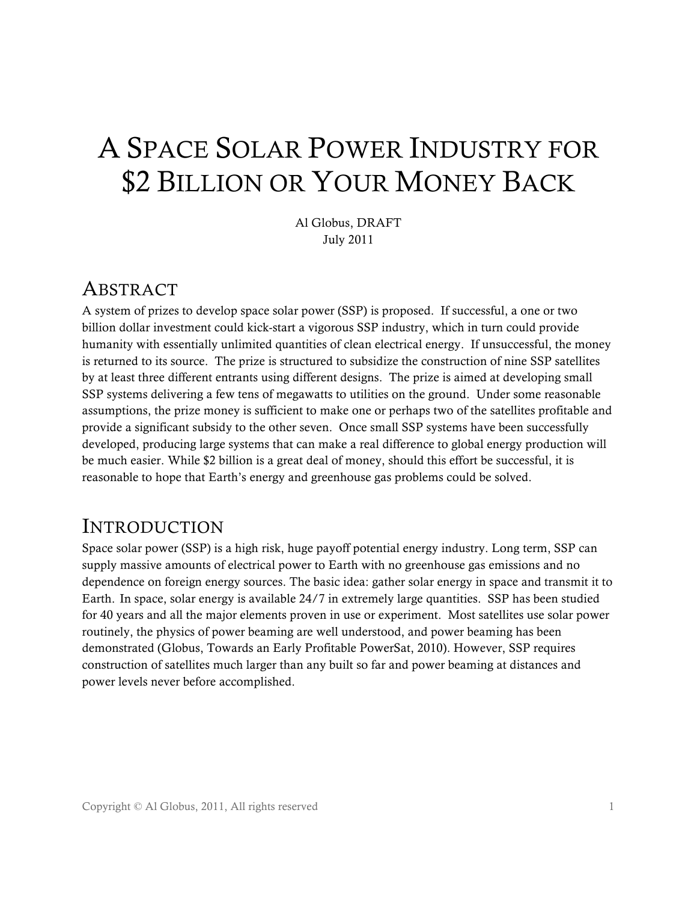# A SPACE SOLAR POWER INDUSTRY FOR \$2 BILLION OR YOUR MONEY BACK

Al Globus, DRAFT July 2011

#### ABSTRACT

A system of prizes to develop space solar power (SSP) is proposed. If successful, a one or two billion dollar investment could kick-start a vigorous SSP industry, which in turn could provide humanity with essentially unlimited quantities of clean electrical energy. If unsuccessful, the money is returned to its source. The prize is structured to subsidize the construction of nine SSP satellites by at least three different entrants using different designs. The prize is aimed at developing small SSP systems delivering a few tens of megawatts to utilities on the ground. Under some reasonable assumptions, the prize money is sufficient to make one or perhaps two of the satellites profitable and provide a significant subsidy to the other seven. Once small SSP systems have been successfully developed, producing large systems that can make a real difference to global energy production will be much easier. While \$2 billion is a great deal of money, should this effort be successful, it is reasonable to hope that Earth's energy and greenhouse gas problems could be solved.

#### INTRODUCTION

Space solar power (SSP) is a high risk, huge payoff potential energy industry. Long term, SSP can supply massive amounts of electrical power to Earth with no greenhouse gas emissions and no dependence on foreign energy sources. The basic idea: gather solar energy in space and transmit it to Earth. In space, solar energy is available 24/7 in extremely large quantities. SSP has been studied for 40 years and all the major elements proven in use or experiment. Most satellites use solar power routinely, the physics of power beaming are well understood, and power beaming has been demonstrated (Globus, Towards an Early Profitable PowerSat, 2010). However, SSP requires construction of satellites much larger than any built so far and power beaming at distances and power levels never before accomplished.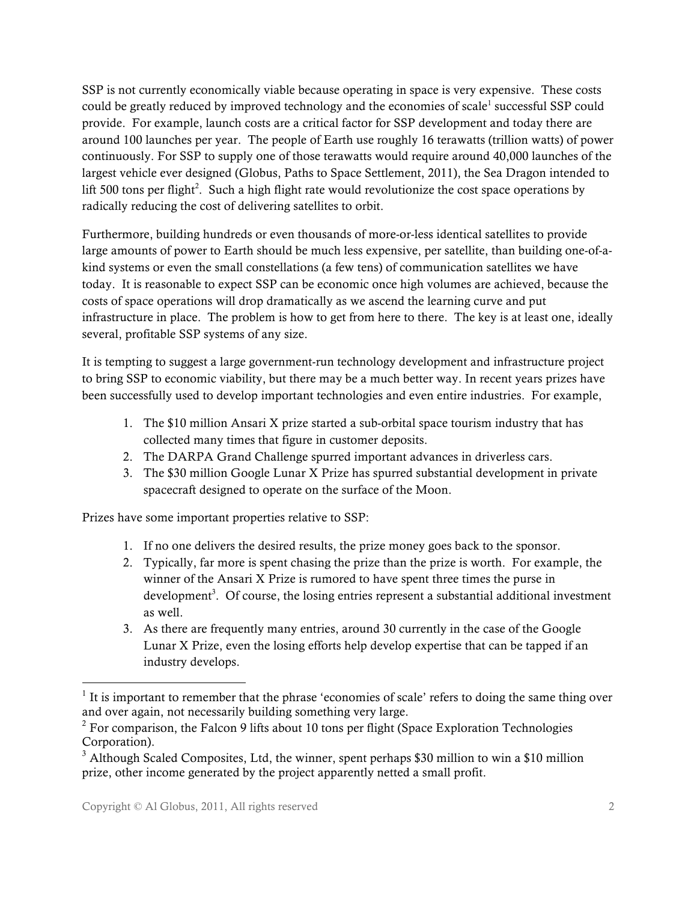SSP is not currently economically viable because operating in space is very expensive. These costs could be greatly reduced by improved technology and the economies of scale<sup>1</sup> successful SSP could provide. For example, launch costs are a critical factor for SSP development and today there are around 100 launches per year. The people of Earth use roughly 16 terawatts (trillion watts) of power continuously. For SSP to supply one of those terawatts would require around 40,000 launches of the largest vehicle ever designed (Globus, Paths to Space Settlement, 2011), the Sea Dragon intended to lift 500 tons per flight<sup>2</sup>. Such a high flight rate would revolutionize the cost space operations by radically reducing the cost of delivering satellites to orbit.

Furthermore, building hundreds or even thousands of more-or-less identical satellites to provide large amounts of power to Earth should be much less expensive, per satellite, than building one-of-akind systems or even the small constellations (a few tens) of communication satellites we have today. It is reasonable to expect SSP can be economic once high volumes are achieved, because the costs of space operations will drop dramatically as we ascend the learning curve and put infrastructure in place. The problem is how to get from here to there. The key is at least one, ideally several, profitable SSP systems of any size.

It is tempting to suggest a large government-run technology development and infrastructure project to bring SSP to economic viability, but there may be a much better way. In recent years prizes have been successfully used to develop important technologies and even entire industries. For example,

- 1. The \$10 million Ansari X prize started a sub-orbital space tourism industry that has collected many times that figure in customer deposits.
- 2. The DARPA Grand Challenge spurred important advances in driverless cars.
- 3. The \$30 million Google Lunar X Prize has spurred substantial development in private spacecraft designed to operate on the surface of the Moon.

Prizes have some important properties relative to SSP:

- 1. If no one delivers the desired results, the prize money goes back to the sponsor.
- 2. Typically, far more is spent chasing the prize than the prize is worth. For example, the winner of the Ansari X Prize is rumored to have spent three times the purse in development<sup>3</sup>. Of course, the losing entries represent a substantial additional investment as well.
- 3. As there are frequently many entries, around 30 currently in the case of the Google Lunar X Prize, even the losing efforts help develop expertise that can be tapped if an industry develops.

 $<sup>1</sup>$  It is important to remember that the phrase 'economies of scale' refers to doing the same thing over</sup> and over again, not necessarily building something very large.

 $2$  For comparison, the Falcon 9 lifts about 10 tons per flight (Space Exploration Technologies Corporation).

 $3$  Although Scaled Composites, Ltd, the winner, spent perhaps \$30 million to win a \$10 million prize, other income generated by the project apparently netted a small profit.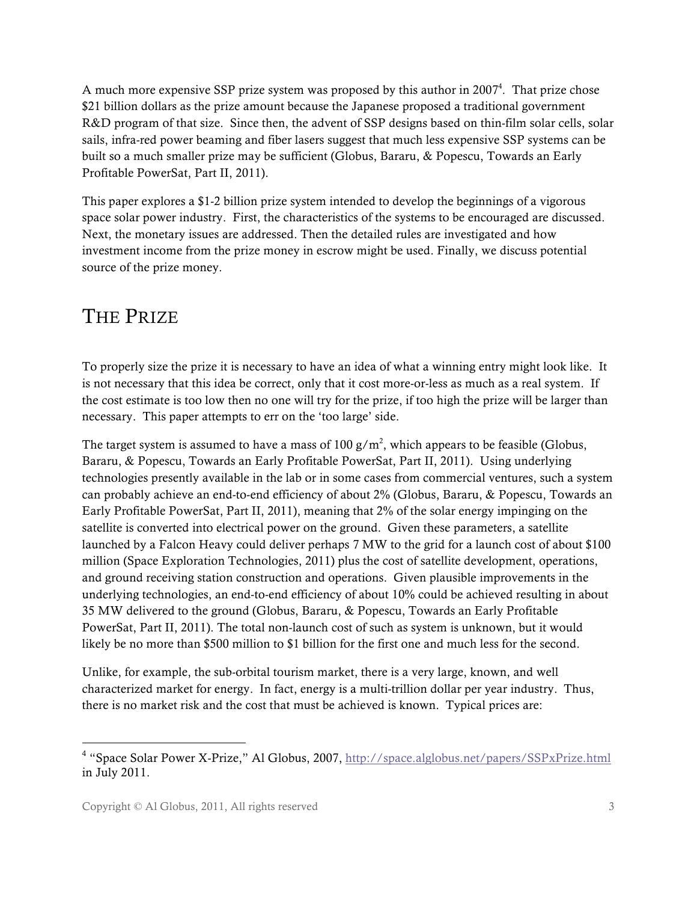A much more expensive SSP prize system was proposed by this author in  $2007<sup>4</sup>$ . That prize chose \$21 billion dollars as the prize amount because the Japanese proposed a traditional government R&D program of that size. Since then, the advent of SSP designs based on thin-film solar cells, solar sails, infra-red power beaming and fiber lasers suggest that much less expensive SSP systems can be built so a much smaller prize may be sufficient (Globus, Bararu, & Popescu, Towards an Early Profitable PowerSat, Part II, 2011).

This paper explores a \$1-2 billion prize system intended to develop the beginnings of a vigorous space solar power industry. First, the characteristics of the systems to be encouraged are discussed. Next, the monetary issues are addressed. Then the detailed rules are investigated and how investment income from the prize money in escrow might be used. Finally, we discuss potential source of the prize money.

## THE PRIZE

To properly size the prize it is necessary to have an idea of what a winning entry might look like. It is not necessary that this idea be correct, only that it cost more-or-less as much as a real system. If the cost estimate is too low then no one will try for the prize, if too high the prize will be larger than necessary. This paper attempts to err on the 'too large' side.

The target system is assumed to have a mass of 100  $\frac{g}{m^2}$ , which appears to be feasible (Globus, Bararu, & Popescu, Towards an Early Profitable PowerSat, Part II, 2011). Using underlying technologies presently available in the lab or in some cases from commercial ventures, such a system can probably achieve an end-to-end efficiency of about 2% (Globus, Bararu, & Popescu, Towards an Early Profitable PowerSat, Part II, 2011), meaning that 2% of the solar energy impinging on the satellite is converted into electrical power on the ground. Given these parameters, a satellite launched by a Falcon Heavy could deliver perhaps 7 MW to the grid for a launch cost of about \$100 million (Space Exploration Technologies, 2011) plus the cost of satellite development, operations, and ground receiving station construction and operations. Given plausible improvements in the underlying technologies, an end-to-end efficiency of about 10% could be achieved resulting in about 35 MW delivered to the ground (Globus, Bararu, & Popescu, Towards an Early Profitable PowerSat, Part II, 2011). The total non-launch cost of such as system is unknown, but it would likely be no more than \$500 million to \$1 billion for the first one and much less for the second.

Unlike, for example, the sub-orbital tourism market, there is a very large, known, and well characterized market for energy. In fact, energy is a multi-trillion dollar per year industry. Thus, there is no market risk and the cost that must be achieved is known. Typical prices are:

<sup>&</sup>lt;sup>4</sup> "Space Solar Power X-Prize," Al Globus, 2007, http://space.alglobus.net/papers/SSPxPrize.html in July 2011.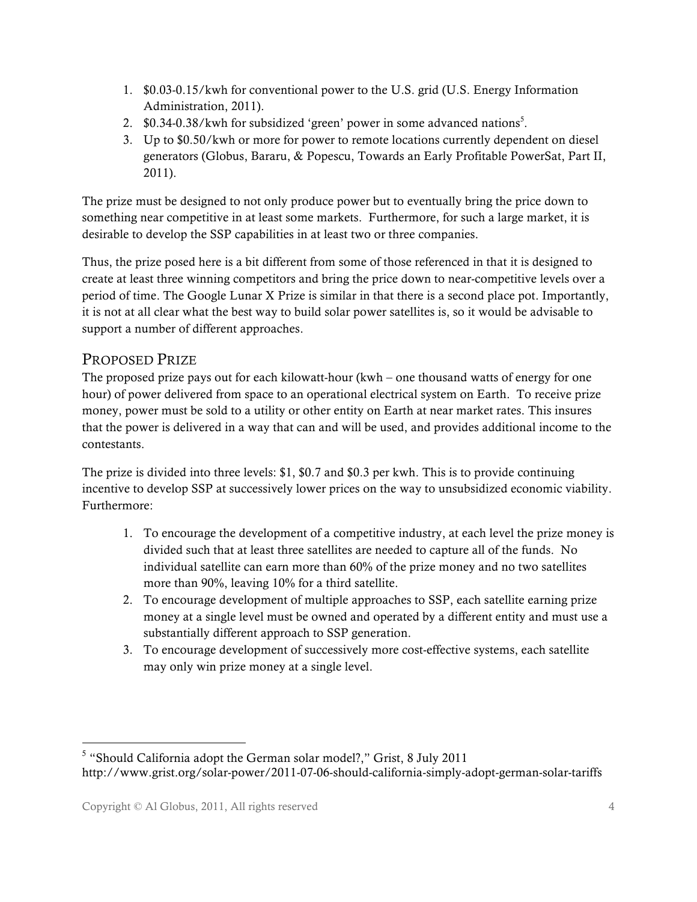- 1. \$0.03-0.15/kwh for conventional power to the U.S. grid (U.S. Energy Information Administration, 2011).
- 2. \$0.34-0.38/kwh for subsidized 'green' power in some advanced nations<sup>5</sup>.
- 3. Up to \$0.50/kwh or more for power to remote locations currently dependent on diesel generators (Globus, Bararu, & Popescu, Towards an Early Profitable PowerSat, Part II, 2011).

The prize must be designed to not only produce power but to eventually bring the price down to something near competitive in at least some markets. Furthermore, for such a large market, it is desirable to develop the SSP capabilities in at least two or three companies.

Thus, the prize posed here is a bit different from some of those referenced in that it is designed to create at least three winning competitors and bring the price down to near-competitive levels over a period of time. The Google Lunar X Prize is similar in that there is a second place pot. Importantly, it is not at all clear what the best way to build solar power satellites is, so it would be advisable to support a number of different approaches.

#### PROPOSED PRIZE

The proposed prize pays out for each kilowatt-hour  $(kwh - one$  thousand watts of energy for one hour) of power delivered from space to an operational electrical system on Earth. To receive prize money, power must be sold to a utility or other entity on Earth at near market rates. This insures that the power is delivered in a way that can and will be used, and provides additional income to the contestants.

The prize is divided into three levels: \$1, \$0.7 and \$0.3 per kwh. This is to provide continuing incentive to develop SSP at successively lower prices on the way to unsubsidized economic viability. Furthermore:

- 1. To encourage the development of a competitive industry, at each level the prize money is divided such that at least three satellites are needed to capture all of the funds. No individual satellite can earn more than 60% of the prize money and no two satellites more than 90%, leaving 10% for a third satellite.
- 2. To encourage development of multiple approaches to SSP, each satellite earning prize money at a single level must be owned and operated by a different entity and must use a substantially different approach to SSP generation.
- 3. To encourage development of successively more cost-effective systems, each satellite may only win prize money at a single level.

 <sup>5</sup> "Should California adopt the German solar model?," Grist, 8 July 2011 http://www.grist.org/solar-power/2011-07-06-should-california-simply-adopt-german-solar-tariffs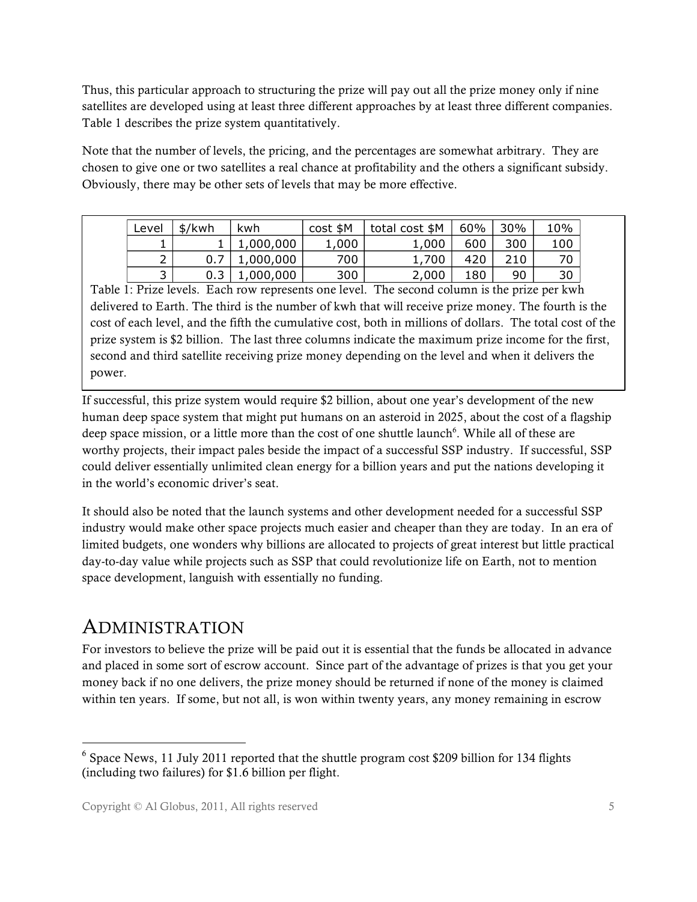Thus, this particular approach to structuring the prize will pay out all the prize money only if nine satellites are developed using at least three different approaches by at least three different companies. Table 1 describes the prize system quantitatively.

Note that the number of levels, the pricing, and the percentages are somewhat arbitrary. They are chosen to give one or two satellites a real chance at profitability and the others a significant subsidy. Obviously, there may be other sets of levels that may be more effective.

| Level                         | \$/kwh | kwh       | cost \$M | total cost \$M | 60% | 30% | 10% |
|-------------------------------|--------|-----------|----------|----------------|-----|-----|-----|
|                               |        | L,000,000 | 1,000    | 1,000          | 600 | 300 | 100 |
| $\overline{\phantom{0}}$<br>∸ |        | ,000,000  | 700      | 1,700          | 420 | 210 | 70  |
| ت                             |        | ,000,000  | 300      | 2,000          | 180 | 90  | 30  |

Table 1: Prize levels. Each row represents one level. The second column is the prize per kwh delivered to Earth. The third is the number of kwh that will receive prize money. The fourth is the cost of each level, and the fifth the cumulative cost, both in millions of dollars. The total cost of the prize system is \$2 billion. The last three columns indicate the maximum prize income for the first, second and third satellite receiving prize money depending on the level and when it delivers the power.

If successful, this prize system would require \$2 billion, about one year's development of the new human deep space system that might put humans on an asteroid in 2025, about the cost of a flagship deep space mission, or a little more than the cost of one shuttle launch<sup>6</sup>. While all of these are worthy projects, their impact pales beside the impact of a successful SSP industry. If successful, SSP could deliver essentially unlimited clean energy for a billion years and put the nations developing it in the world's economic driver's seat.

It should also be noted that the launch systems and other development needed for a successful SSP industry would make other space projects much easier and cheaper than they are today. In an era of limited budgets, one wonders why billions are allocated to projects of great interest but little practical day-to-day value while projects such as SSP that could revolutionize life on Earth, not to mention space development, languish with essentially no funding.

### ADMINISTRATION

For investors to believe the prize will be paid out it is essential that the funds be allocated in advance and placed in some sort of escrow account. Since part of the advantage of prizes is that you get your money back if no one delivers, the prize money should be returned if none of the money is claimed within ten years. If some, but not all, is won within twenty years, any money remaining in escrow

 <sup>6</sup> Space News, 11 July 2011 reported that the shuttle program cost \$209 billion for 134 flights (including two failures) for \$1.6 billion per flight.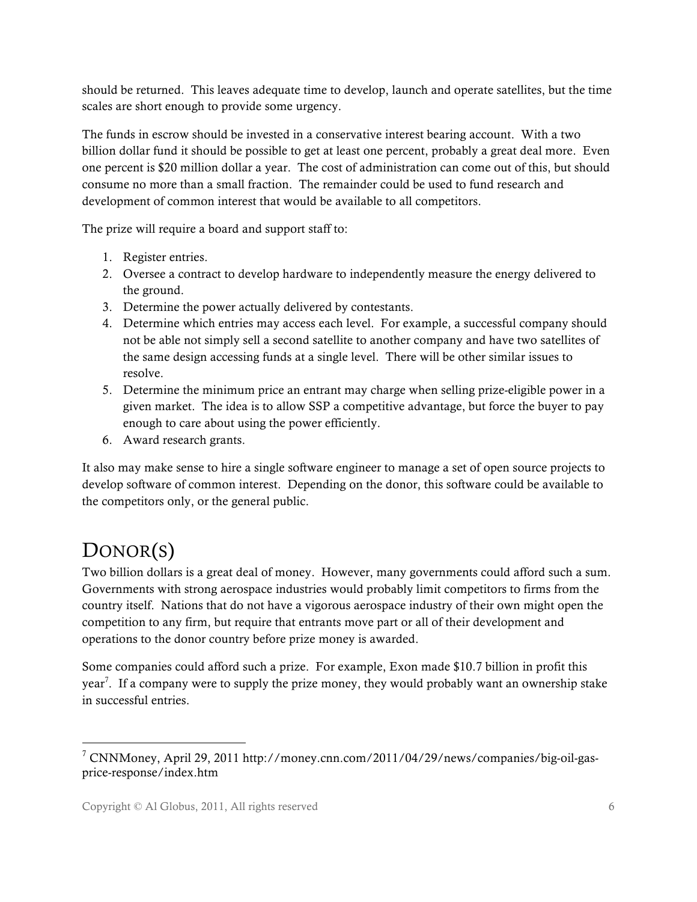should be returned. This leaves adequate time to develop, launch and operate satellites, but the time scales are short enough to provide some urgency.

The funds in escrow should be invested in a conservative interest bearing account. With a two billion dollar fund it should be possible to get at least one percent, probably a great deal more. Even one percent is \$20 million dollar a year. The cost of administration can come out of this, but should consume no more than a small fraction. The remainder could be used to fund research and development of common interest that would be available to all competitors.

The prize will require a board and support staff to:

- 1. Register entries.
- 2. Oversee a contract to develop hardware to independently measure the energy delivered to the ground.
- 3. Determine the power actually delivered by contestants.
- 4. Determine which entries may access each level. For example, a successful company should not be able not simply sell a second satellite to another company and have two satellites of the same design accessing funds at a single level. There will be other similar issues to resolve.
- 5. Determine the minimum price an entrant may charge when selling prize-eligible power in a given market. The idea is to allow SSP a competitive advantage, but force the buyer to pay enough to care about using the power efficiently.
- 6. Award research grants.

It also may make sense to hire a single software engineer to manage a set of open source projects to develop software of common interest. Depending on the donor, this software could be available to the competitors only, or the general public.

## DONOR(S)

Two billion dollars is a great deal of money. However, many governments could afford such a sum. Governments with strong aerospace industries would probably limit competitors to firms from the country itself. Nations that do not have a vigorous aerospace industry of their own might open the competition to any firm, but require that entrants move part or all of their development and operations to the donor country before prize money is awarded.

Some companies could afford such a prize. For example, Exon made \$10.7 billion in profit this year<sup>7</sup>. If a company were to supply the prize money, they would probably want an ownership stake in successful entries.

 <sup>7</sup> CNNMoney, April 29, 2011 http://money.cnn.com/2011/04/29/news/companies/big-oil-gasprice-response/index.htm